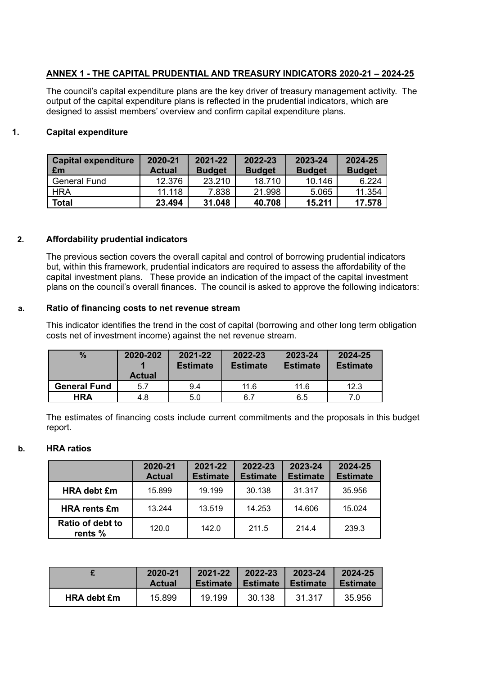## **ANNEX 1 - THE CAPITAL PRUDENTIAL AND TREASURY INDICATORS 2020-21 – 2024-25**

The council's capital expenditure plans are the key driver of treasury management activity. The output of the capital expenditure plans is reflected in the prudential indicators, which are designed to assist members' overview and confirm capital expenditure plans.

## **1. Capital expenditure**

| <b>Capital expenditure</b><br>£m | 2020-21<br><b>Actual</b> | 2021-22<br><b>Budget</b> | 2022-23<br><b>Budget</b> | 2023-24<br><b>Budget</b> | 2024-25<br><b>Budget</b> |
|----------------------------------|--------------------------|--------------------------|--------------------------|--------------------------|--------------------------|
| General Fund                     | 12.376                   | 23.210                   | 18.710                   | 10.146                   | 6.224                    |
| HRA                              | 11.118                   | 7.838                    | 21.998                   | 5.065                    | 11.354                   |
| Total                            | 23.494                   | 31.048                   | 40.708                   | 15.211                   | 17.578                   |

### **2. Affordability prudential indicators**

The previous section covers the overall capital and control of borrowing prudential indicators but, within this framework, prudential indicators are required to assess the affordability of the capital investment plans. These provide an indication of the impact of the capital investment plans on the council's overall finances. The council is asked to approve the following indicators:

#### **a. Ratio of financing costs to net revenue stream**

This indicator identifies the trend in the cost of capital (borrowing and other long term obligation costs net of investment income) against the net revenue stream.

| $\%$                | 2020-202<br><b>Actual</b> | 2021-22<br><b>Estimate</b> | 2022-23<br><b>Estimate</b> | 2023-24<br><b>Estimate</b> | 2024-25<br><b>Estimate</b> |
|---------------------|---------------------------|----------------------------|----------------------------|----------------------------|----------------------------|
| <b>General Fund</b> | 5.7                       | 9.4                        | 11.6                       | 11.6                       | 12.3                       |
| <b>HRA</b>          | 4.8                       | 5.0                        | 6.7                        | 6.5                        | 7.0                        |

The estimates of financing costs include current commitments and the proposals in this budget report.

#### **b. HRA ratios**

|                             | 2020-21<br><b>Actual</b> | 2021-22<br><b>Estimate</b> | 2022-23<br><b>Estimate</b> | 2023-24<br><b>Estimate</b> | 2024-25<br><b>Estimate</b> |
|-----------------------------|--------------------------|----------------------------|----------------------------|----------------------------|----------------------------|
| <b>HRA debt £m</b>          | 15.899                   | 19.199                     | 30.138                     | 31.317                     | 35.956                     |
| <b>HRA rents £m</b>         | 13.244                   | 13.519                     | 14.253                     | 14.606                     | 15.024                     |
| Ratio of debt to<br>rents % | 120.0                    | 142.0                      | 211.5                      | 214.4                      | 239.3                      |

|                    | 2020-21       | 2021-22         | 2022-23  | 2023-24  | 2024-25         |
|--------------------|---------------|-----------------|----------|----------|-----------------|
|                    | <b>Actual</b> | <b>Estimate</b> | Estimate | Estimate | <b>Estimate</b> |
| <b>HRA debt £m</b> | 15.899        | 19.199          | 30.138   | 31.317   | 35,956          |